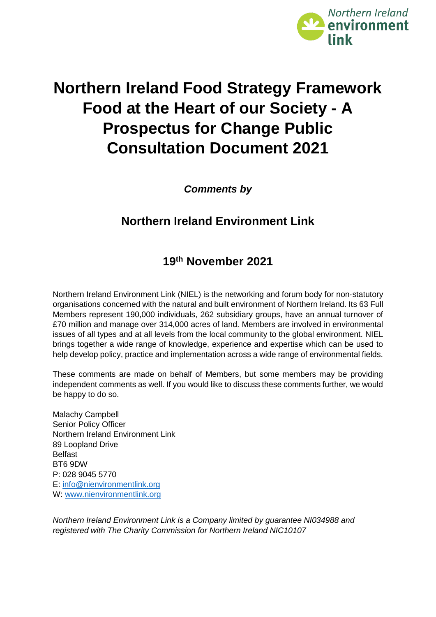

# **Northern Ireland Food Strategy Framework Food at the Heart of our Society - A Prospectus for Change Public Consultation Document 2021**

*Comments by*

# **Northern Ireland Environment Link**

# **19th November 2021**

Northern Ireland Environment Link (NIEL) is the networking and forum body for non‐statutory organisations concerned with the natural and built environment of Northern Ireland. Its 63 Full Members represent 190,000 individuals, 262 subsidiary groups, have an annual turnover of £70 million and manage over 314,000 acres of land. Members are involved in environmental issues of all types and at all levels from the local community to the global environment. NIEL brings together a wide range of knowledge, experience and expertise which can be used to help develop policy, practice and implementation across a wide range of environmental fields.

These comments are made on behalf of Members, but some members may be providing independent comments as well. If you would like to discuss these comments further, we would be happy to do so.

Malachy Campbell Senior Policy Officer Northern Ireland Environment Link 89 Loopland Drive Belfast BT6 9DW P: 028 9045 5770 E: [info@nienvironmentlink.org](mailto:info@nienvironmentlink.org) W: [www.nienvironmentlink.org](http://www.nienvironmentlink.org/)

*Northern Ireland Environment Link is a Company limited by guarantee NI034988 and registered with The Charity Commission for Northern Ireland NIC10107*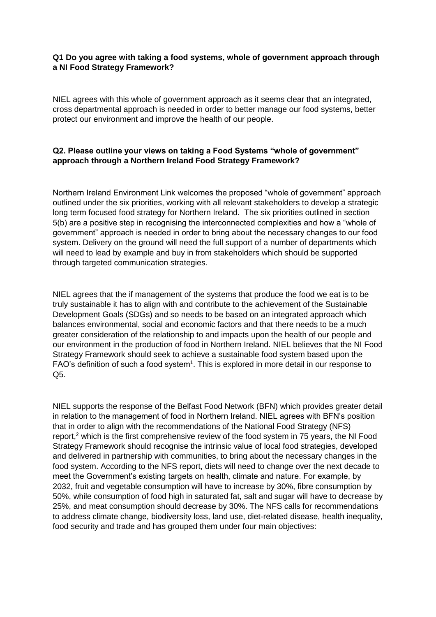# **Q1 Do you agree with taking a food systems, whole of government approach through a NI Food Strategy Framework?**

NIEL agrees with this whole of government approach as it seems clear that an integrated, cross departmental approach is needed in order to better manage our food systems, better protect our environment and improve the health of our people.

# **Q2. Please outline your views on taking a Food Systems "whole of government" approach through a Northern Ireland Food Strategy Framework?**

Northern Ireland Environment Link welcomes the proposed "whole of government" approach outlined under the six priorities, working with all relevant stakeholders to develop a strategic long term focused food strategy for Northern Ireland. The six priorities outlined in section 5(b) are a positive step in recognising the interconnected complexities and how a "whole of government" approach is needed in order to bring about the necessary changes to our food system. Delivery on the ground will need the full support of a number of departments which will need to lead by example and buy in from stakeholders which should be supported through targeted communication strategies.

NIEL agrees that the if management of the systems that produce the food we eat is to be truly sustainable it has to align with and contribute to the achievement of the Sustainable Development Goals (SDGs) and so needs to be based on an integrated approach which balances environmental, social and economic factors and that there needs to be a much greater consideration of the relationship to and impacts upon the health of our people and our environment in the production of food in Northern Ireland. NIEL believes that the NI Food Strategy Framework should seek to achieve a sustainable food system based upon the FAO's definition of such a food system<sup>1</sup>. This is explored in more detail in our response to  $O<sub>5</sub>$ .

NIEL supports the response of the Belfast Food Network (BFN) which provides greater detail in relation to the management of food in Northern Ireland. NIEL agrees with BFN's position that in order to align with the recommendations of the National Food Strategy (NFS) report, $2$  which is the first comprehensive review of the food system in 75 years, the NI Food Strategy Framework should recognise the intrinsic value of local food strategies, developed and delivered in partnership with communities, to bring about the necessary changes in the food system. According to the NFS report, diets will need to change over the next decade to meet the Government's existing targets on health, climate and nature. For example, by 2032, fruit and vegetable consumption will have to increase by 30%, fibre consumption by 50%, while consumption of food high in saturated fat, salt and sugar will have to decrease by 25%, and meat consumption should decrease by 30%. The NFS calls for recommendations to address climate change, biodiversity loss, land use, diet-related disease, health inequality, food security and trade and has grouped them under four main objectives: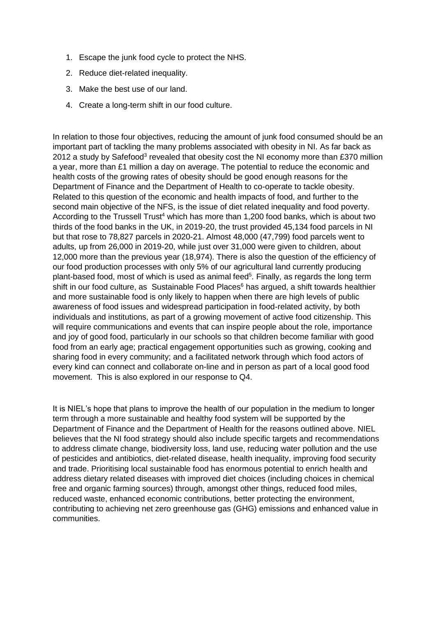- 1. Escape the junk food cycle to protect the NHS.
- 2. Reduce diet-related inequality.
- 3. Make the best use of our land.
- 4. Create a long-term shift in our food culture.

In relation to those four objectives, reducing the amount of junk food consumed should be an important part of tackling the many problems associated with obesity in NI. As far back as 2012 a study by Safefood<sup>3</sup> revealed that obesity cost the NI economy more than £370 million a year, more than £1 million a day on average. The potential to reduce the economic and health costs of the growing rates of obesity should be good enough reasons for the Department of Finance and the Department of Health to co-operate to tackle obesity. Related to this question of the economic and health impacts of food, and further to the second main objective of the NFS, is the issue of diet related inequality and food poverty. According to the Trussell Trust<sup>4</sup> which has more than 1,200 food banks, which is about two thirds of the food banks in the UK, in 2019-20, the trust provided 45,134 food parcels in NI but that rose to 78,827 parcels in 2020-21. Almost 48,000 (47,799) food parcels went to adults, up from 26,000 in 2019-20, while just over 31,000 were given to children, about 12,000 more than the previous year (18,974). There is also the question of the efficiency of our food production processes with only 5% of our agricultural land currently producing plant-based food, most of which is used as animal feed<sup>5</sup>. Finally, as regards the long term shift in our food culture, as Sustainable Food Places<sup>6</sup> has argued, a shift towards healthier and more sustainable food is only likely to happen when there are high levels of public awareness of food issues and widespread participation in food-related activity, by both individuals and institutions, as part of a growing movement of active food citizenship. This will require communications and events that can inspire people about the role, importance and joy of good food, particularly in our schools so that children become familiar with good food from an early age; practical engagement opportunities such as growing, cooking and sharing food in every community; and a facilitated network through which food actors of every kind can connect and collaborate on-line and in person as part of a local good food movement. This is also explored in our response to Q4.

It is NIEL's hope that plans to improve the health of our population in the medium to longer term through a more sustainable and healthy food system will be supported by the Department of Finance and the Department of Health for the reasons outlined above. NIEL believes that the NI food strategy should also include specific targets and recommendations to address climate change, biodiversity loss, land use, reducing water pollution and the use of pesticides and antibiotics, diet-related disease, health inequality, improving food security and trade. Prioritising local sustainable food has enormous potential to enrich health and address dietary related diseases with improved diet choices (including choices in chemical free and organic farming sources) through, amongst other things, reduced food miles, reduced waste, enhanced economic contributions, better protecting the environment, contributing to achieving net zero greenhouse gas (GHG) emissions and enhanced value in communities.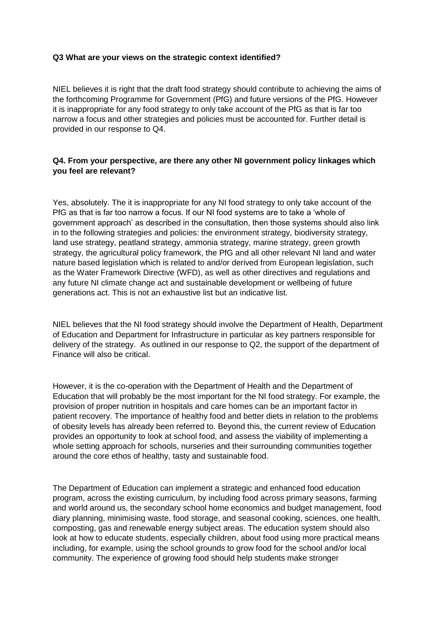#### **Q3 What are your views on the strategic context identified?**

NIEL believes it is right that the draft food strategy should contribute to achieving the aims of the forthcoming Programme for Government (PfG) and future versions of the PfG. However it is inappropriate for any food strategy to only take account of the PfG as that is far too narrow a focus and other strategies and policies must be accounted for. Further detail is provided in our response to Q4.

#### **Q4. From your perspective, are there any other NI government policy linkages which you feel are relevant?**

Yes, absolutely. The it is inappropriate for any NI food strategy to only take account of the PfG as that is far too narrow a focus. If our NI food systems are to take a 'whole of government approach' as described in the consultation, then those systems should also link in to the following strategies and policies: the environment strategy, biodiversity strategy, land use strategy, peatland strategy, ammonia strategy, marine strategy, green growth strategy, the agricultural policy framework, the PfG and all other relevant NI land and water nature based legislation which is related to and/or derived from European legislation, such as the Water Framework Directive (WFD), as well as other directives and regulations and any future NI climate change act and sustainable development or wellbeing of future generations act. This is not an exhaustive list but an indicative list.

NIEL believes that the NI food strategy should involve the Department of Health, Department of Education and Department for Infrastructure in particular as key partners responsible for delivery of the strategy. As outlined in our response to Q2, the support of the department of Finance will also be critical.

However, it is the co-operation with the Department of Health and the Department of Education that will probably be the most important for the NI food strategy. For example, the provision of proper nutrition in hospitals and care homes can be an important factor in patient recovery. The importance of healthy food and better diets in relation to the problems of obesity levels has already been referred to. Beyond this, the current review of Education provides an opportunity to look at school food, and assess the viability of implementing a whole setting approach for schools, nurseries and their surrounding communities together around the core ethos of healthy, tasty and sustainable food.

The Department of Education can implement a strategic and enhanced food education program, across the existing curriculum, by including food across primary seasons, farming and world around us, the secondary school home economics and budget management, food diary planning, minimising waste, food storage, and seasonal cooking, sciences, one health, composting, gas and renewable energy subject areas. The education system should also look at how to educate students, especially children, about food using more practical means including, for example, using the school grounds to grow food for the school and/or local community. The experience of growing food should help students make stronger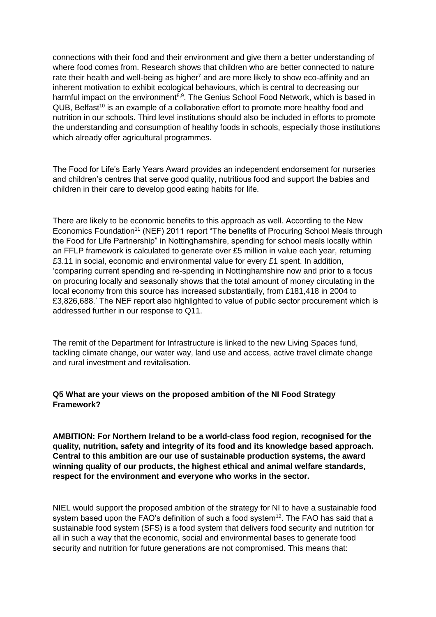connections with their food and their environment and give them a better understanding of where food comes from. Research shows that children who are better connected to nature rate their health and well-being as higher<sup>7</sup> and are more likely to show eco-affinity and an inherent motivation to exhibit ecological behaviours, which is central to decreasing our harmful impact on the environment<sup>8,9</sup>. The Genius School Food Network, which is based in QUB, Belfast<sup>10</sup> is an example of a collaborative effort to promote more healthy food and nutrition in our schools. Third level institutions should also be included in efforts to promote the understanding and consumption of healthy foods in schools, especially those institutions which already offer agricultural programmes.

The Food for Life's Early Years Award provides an independent endorsement for nurseries and children's centres that serve good quality, nutritious food and support the babies and children in their care to develop good eating habits for life.

There are likely to be economic benefits to this approach as well. According to the New Economics Foundation<sup>11</sup> (NEF) 2011 report "The benefits of Procuring School Meals through the Food for Life Partnership" in Nottinghamshire, spending for school meals locally within an FFLP framework is calculated to generate over £5 million in value each year, returning £3.11 in social, economic and environmental value for every £1 spent. In addition, 'comparing current spending and re-spending in Nottinghamshire now and prior to a focus on procuring locally and seasonally shows that the total amount of money circulating in the local economy from this source has increased substantially, from £181,418 in 2004 to £3,826,688.' The NEF report also highlighted to value of public sector procurement which is addressed further in our response to Q11.

The remit of the Department for Infrastructure is linked to the new Living Spaces fund, tackling climate change, our water way, land use and access, active travel climate change and rural investment and revitalisation.

# **Q5 What are your views on the proposed ambition of the NI Food Strategy Framework?**

**AMBITION: For Northern Ireland to be a world-class food region, recognised for the quality, nutrition, safety and integrity of its food and its knowledge based approach. Central to this ambition are our use of sustainable production systems, the award winning quality of our products, the highest ethical and animal welfare standards, respect for the environment and everyone who works in the sector.**

NIEL would support the proposed ambition of the strategy for NI to have a sustainable food system based upon the FAO's definition of such a food system<sup>12</sup>. The FAO has said that a sustainable food system (SFS) is a food system that delivers food security and nutrition for all in such a way that the economic, social and environmental bases to generate food security and nutrition for future generations are not compromised. This means that: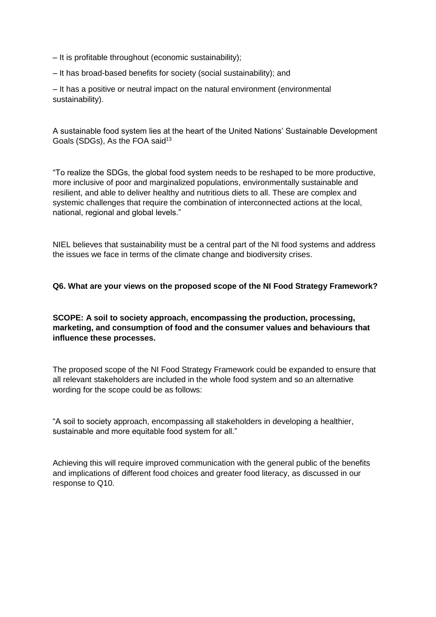- It is profitable throughout (economic sustainability);
- It has broad-based benefits for society (social sustainability); and

– It has a positive or neutral impact on the natural environment (environmental sustainability).

A sustainable food system lies at the heart of the United Nations' Sustainable Development Goals (SDGs), As the FOA said<sup>13</sup>

"To realize the SDGs, the global food system needs to be reshaped to be more productive, more inclusive of poor and marginalized populations, environmentally sustainable and resilient, and able to deliver healthy and nutritious diets to all. These are complex and systemic challenges that require the combination of interconnected actions at the local, national, regional and global levels."

NIEL believes that sustainability must be a central part of the NI food systems and address the issues we face in terms of the climate change and biodiversity crises.

#### **Q6. What are your views on the proposed scope of the NI Food Strategy Framework?**

#### **SCOPE: A soil to society approach, encompassing the production, processing, marketing, and consumption of food and the consumer values and behaviours that influence these processes.**

The proposed scope of the NI Food Strategy Framework could be expanded to ensure that all relevant stakeholders are included in the whole food system and so an alternative wording for the scope could be as follows:

"A soil to society approach, encompassing all stakeholders in developing a healthier, sustainable and more equitable food system for all."

Achieving this will require improved communication with the general public of the benefits and implications of different food choices and greater food literacy, as discussed in our response to Q10.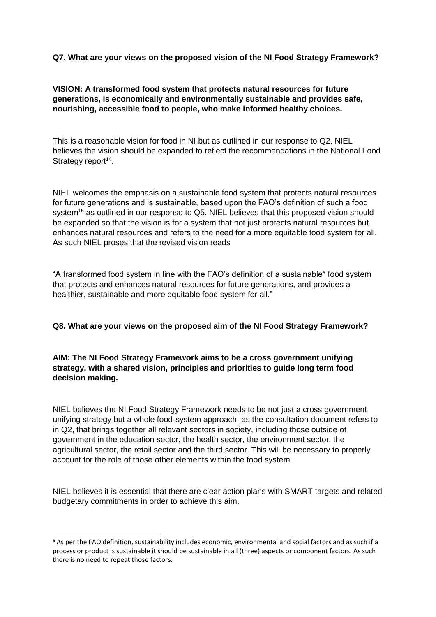# **Q7. What are your views on the proposed vision of the NI Food Strategy Framework?**

**VISION: A transformed food system that protects natural resources for future generations, is economically and environmentally sustainable and provides safe, nourishing, accessible food to people, who make informed healthy choices.**

This is a reasonable vision for food in NI but as outlined in our response to Q2, NIEL believes the vision should be expanded to reflect the recommendations in the National Food Strategy report<sup>14</sup>.

NIEL welcomes the emphasis on a sustainable food system that protects natural resources for future generations and is sustainable, based upon the FAO's definition of such a food system<sup>15</sup> as outlined in our response to Q5. NIEL believes that this proposed vision should be expanded so that the vision is for a system that not just protects natural resources but enhances natural resources and refers to the need for a more equitable food system for all. As such NIEL proses that the revised vision reads

"A transformed food system in line with the FAO's definition of a sustainable<sup>a</sup> food system that protects and enhances natural resources for future generations, and provides a healthier, sustainable and more equitable food system for all."

#### **Q8. What are your views on the proposed aim of the NI Food Strategy Framework?**

**AIM: The NI Food Strategy Framework aims to be a cross government unifying strategy, with a shared vision, principles and priorities to guide long term food decision making.**

NIEL believes the NI Food Strategy Framework needs to be not just a cross government unifying strategy but a whole food-system approach, as the consultation document refers to in Q2, that brings together all relevant sectors in society, including those outside of government in the education sector, the health sector, the environment sector, the agricultural sector, the retail sector and the third sector. This will be necessary to properly account for the role of those other elements within the food system.

NIEL believes it is essential that there are clear action plans with SMART targets and related budgetary commitments in order to achieve this aim.

**.** 

a As per the FAO definition, sustainability includes economic, environmental and social factors and as such if a process or product is sustainable it should be sustainable in all (three) aspects or component factors. As such there is no need to repeat those factors.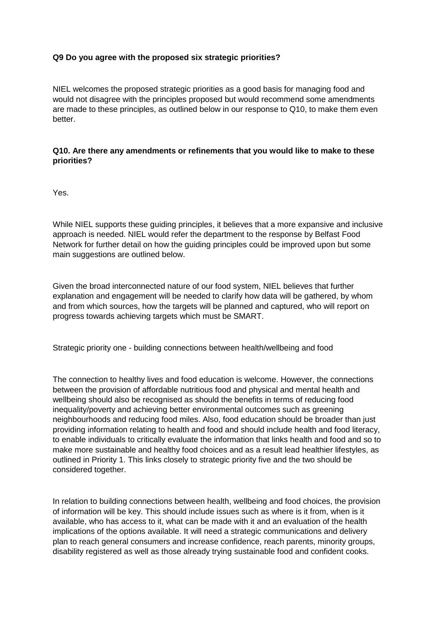#### **Q9 Do you agree with the proposed six strategic priorities?**

NIEL welcomes the proposed strategic priorities as a good basis for managing food and would not disagree with the principles proposed but would recommend some amendments are made to these principles, as outlined below in our response to Q10, to make them even better.

#### **Q10. Are there any amendments or refinements that you would like to make to these priorities?**

Yes.

While NIEL supports these guiding principles, it believes that a more expansive and inclusive approach is needed. NIEL would refer the department to the response by Belfast Food Network for further detail on how the guiding principles could be improved upon but some main suggestions are outlined below.

Given the broad interconnected nature of our food system, NIEL believes that further explanation and engagement will be needed to clarify how data will be gathered, by whom and from which sources, how the targets will be planned and captured, who will report on progress towards achieving targets which must be SMART.

Strategic priority one - building connections between health/wellbeing and food

The connection to healthy lives and food education is welcome. However, the connections between the provision of affordable nutritious food and physical and mental health and wellbeing should also be recognised as should the benefits in terms of reducing food inequality/poverty and achieving better environmental outcomes such as greening neighbourhoods and reducing food miles. Also, food education should be broader than just providing information relating to health and food and should include health and food literacy, to enable individuals to critically evaluate the information that links health and food and so to make more sustainable and healthy food choices and as a result lead healthier lifestyles, as outlined in Priority 1. This links closely to strategic priority five and the two should be considered together.

In relation to building connections between health, wellbeing and food choices, the provision of information will be key. This should include issues such as where is it from, when is it available, who has access to it, what can be made with it and an evaluation of the health implications of the options available. It will need a strategic communications and delivery plan to reach general consumers and increase confidence, reach parents, minority groups, disability registered as well as those already trying sustainable food and confident cooks.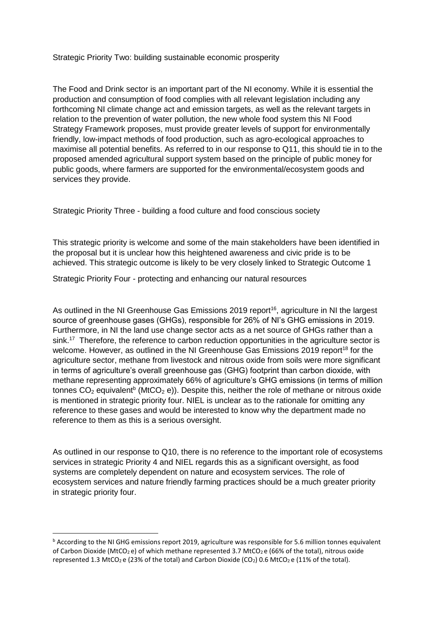Strategic Priority Two: building sustainable economic prosperity

The Food and Drink sector is an important part of the NI economy. While it is essential the production and consumption of food complies with all relevant legislation including any forthcoming NI climate change act and emission targets, as well as the relevant targets in relation to the prevention of water pollution, the new whole food system this NI Food Strategy Framework proposes, must provide greater levels of support for environmentally friendly, low-impact methods of food production, such as agro-ecological approaches to maximise all potential benefits. As referred to in our response to Q11, this should tie in to the proposed amended agricultural support system based on the principle of public money for public goods, where farmers are supported for the environmental/ecosystem goods and services they provide.

Strategic Priority Three - building a food culture and food conscious society

This strategic priority is welcome and some of the main stakeholders have been identified in the proposal but it is unclear how this heightened awareness and civic pride is to be achieved. This strategic outcome is likely to be very closely linked to Strategic Outcome 1

Strategic Priority Four - protecting and enhancing our natural resources

As outlined in the NI Greenhouse Gas Emissions 2019 report<sup>16</sup>, agriculture in NI the largest source of greenhouse gases (GHGs), responsible for 26% of NI's GHG emissions in 2019. Furthermore, in NI the land use change sector acts as a net source of GHGs rather than a sink.<sup>17</sup> Therefore, the reference to carbon reduction opportunities in the agriculture sector is welcome. However, as outlined in the NI Greenhouse Gas Emissions 2019 report<sup>18</sup> for the agriculture sector, methane from livestock and nitrous oxide from soils were more significant in terms of agriculture's overall greenhouse gas (GHG) footprint than carbon dioxide, with methane representing approximately 66% of agriculture's GHG emissions (in terms of million tonnes  $CO<sub>2</sub>$  equivalent<sup>b</sup> (MtCO<sub>2</sub> e)). Despite this, neither the role of methane or nitrous oxide is mentioned in strategic priority four. NIEL is unclear as to the rationale for omitting any reference to these gases and would be interested to know why the department made no reference to them as this is a serious oversight.

As outlined in our response to Q10, there is no reference to the important role of ecosystems services in strategic Priority 4 and NIEL regards this as a significant oversight, as food systems are completely dependent on nature and ecosystem services. The role of ecosystem services and nature friendly farming practices should be a much greater priority in strategic priority four.

**.** 

**b** According to the NI GHG emissions report 2019, agriculture was responsible for 5.6 million tonnes equivalent of Carbon Dioxide (MtCO<sub>2</sub> e) of which methane represented 3.7 MtCO<sub>2</sub> e (66% of the total), nitrous oxide represented 1.3 MtCO<sub>2</sub> e (23% of the total) and Carbon Dioxide (CO<sub>2</sub>) 0.6 MtCO<sub>2</sub> e (11% of the total).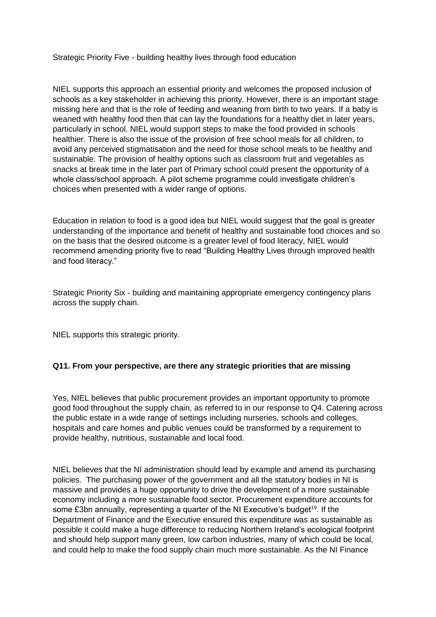Strategic Priority Five - building healthy lives through food education

NIEL supports this approach an essential priority and welcomes the proposed inclusion of schools as a key stakeholder in achieving this priority. However, there is an important stage missing here and that is the role of feeding and weaning from birth to two years. If a baby is weaned with healthy food then that can lay the foundations for a healthy diet in later years, particularly in school. NIEL would support steps to make the food provided in schools healthier. There is also the issue of the provision of free school meals for all children, to avoid any perceived stigmatisation and the need for those school meals to be healthy and sustainable. The provision of healthy options such as classroom fruit and vegetables as snacks at break time in the later part of Primary school could present the opportunity of a whole class/school approach. A pilot scheme programme could investigate children's choices when presented with a wider range of options.

Education in relation to food is a good idea but NIEL would suggest that the goal is greater understanding of the importance and benefit of healthy and sustainable food choices and so on the basis that the desired outcome is a greater level of food literacy, NIEL would recommend amending priority five to read "Building Healthy Lives through improved health and food literacy."

Strategic Priority Six - building and maintaining appropriate emergency contingency plans across the supply chain.

NIEL supports this strategic priority.

#### **Q11. From your perspective, are there any strategic priorities that are missing**

Yes, NIEL believes that public procurement provides an important opportunity to promote good food throughout the supply chain, as referred to in our response to Q4. Catering across the public estate in a wide range of settings including nurseries, schools and colleges, hospitals and care homes and public venues could be transformed by a requirement to provide healthy, nutritious, sustainable and local food.

NIEL believes that the NI administration should lead by example and amend its purchasing policies. The purchasing power of the government and all the statutory bodies in NI is massive and provides a huge opportunity to drive the development of a more sustainable economy including a more sustainable food sector. Procurement expenditure accounts for some £3bn annually, representing a quarter of the NI Executive's budget<sup>19</sup>. If the Department of Finance and the Executive ensured this expenditure was as sustainable as possible it could make a huge difference to reducing Northern Ireland's ecological footprint and should help support many green, low carbon industries, many of which could be local, and could help to make the food supply chain much more sustainable. As the NI Finance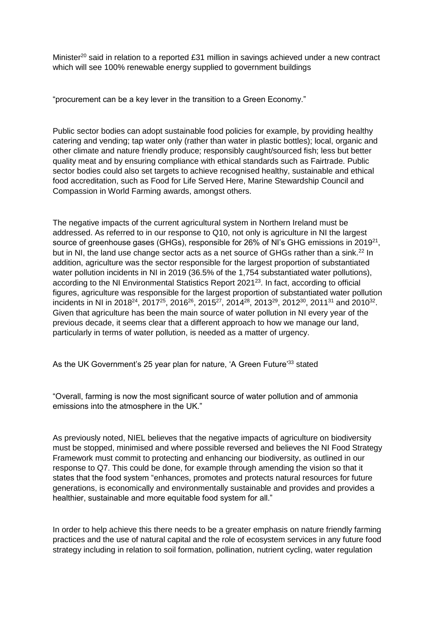Minister<sup>20</sup> said in relation to a reported £31 million in savings achieved under a new contract which will see 100% renewable energy supplied to government buildings

"procurement can be a key lever in the transition to a Green Economy."

Public sector bodies can adopt sustainable food policies for example, by providing healthy catering and vending; tap water only (rather than water in plastic bottles); local, organic and other climate and nature friendly produce; responsibly caught/sourced fish; less but better quality meat and by ensuring compliance with ethical standards such as Fairtrade. Public sector bodies could also set targets to achieve recognised healthy, sustainable and ethical food accreditation, such as Food for Life Served Here, Marine Stewardship Council and Compassion in World Farming awards, amongst others.

The negative impacts of the current agricultural system in Northern Ireland must be addressed. As referred to in our response to Q10, not only is agriculture in NI the largest source of greenhouse gases (GHGs), responsible for 26% of NI's GHG emissions in 2019<sup>21</sup>, but in NI, the land use change sector acts as a net source of GHGs rather than a sink.<sup>22</sup> In addition, agriculture was the sector responsible for the largest proportion of substantiated water pollution incidents in NI in 2019 (36.5% of the 1,754 substantiated water pollutions), according to the NI Environmental Statistics Report 2021<sup>23</sup>. In fact, according to official figures, agriculture was responsible for the largest proportion of substantiated water pollution incidents in NI in 2018<sup>24</sup>, 2017<sup>25</sup>, 2016<sup>26</sup>, 2015<sup>27</sup>, 2014<sup>28</sup>, 2013<sup>29</sup>, 2012<sup>30</sup>, 2011<sup>31</sup> and 2010<sup>32</sup>. Given that agriculture has been the main source of water pollution in NI every year of the previous decade, it seems clear that a different approach to how we manage our land, particularly in terms of water pollution, is needed as a matter of urgency.

As the UK Government's 25 year plan for nature, 'A Green Future<sup>'33</sup> stated

"Overall, farming is now the most significant source of water pollution and of ammonia emissions into the atmosphere in the UK."

As previously noted, NIEL believes that the negative impacts of agriculture on biodiversity must be stopped, minimised and where possible reversed and believes the NI Food Strategy Framework must commit to protecting and enhancing our biodiversity, as outlined in our response to Q7. This could be done, for example through amending the vision so that it states that the food system "enhances, promotes and protects natural resources for future generations, is economically and environmentally sustainable and provides and provides a healthier, sustainable and more equitable food system for all."

In order to help achieve this there needs to be a greater emphasis on nature friendly farming practices and the use of natural capital and the role of ecosystem services in any future food strategy including in relation to soil formation, pollination, nutrient cycling, water regulation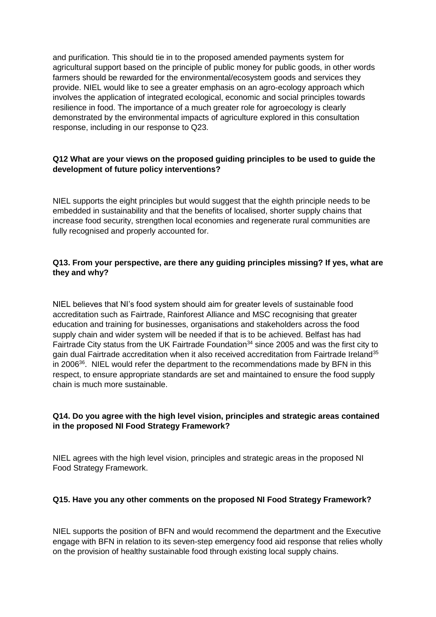and purification. This should tie in to the proposed amended payments system for agricultural support based on the principle of public money for public goods, in other words farmers should be rewarded for the environmental/ecosystem goods and services they provide. NIEL would like to see a greater emphasis on an agro-ecology approach which involves the application of integrated ecological, economic and social principles towards resilience in food. The importance of a much greater role for agroecology is clearly demonstrated by the environmental impacts of agriculture explored in this consultation response, including in our response to Q23.

# **Q12 What are your views on the proposed guiding principles to be used to guide the development of future policy interventions?**

NIEL supports the eight principles but would suggest that the eighth principle needs to be embedded in sustainability and that the benefits of localised, shorter supply chains that increase food security, strengthen local economies and regenerate rural communities are fully recognised and properly accounted for.

# **Q13. From your perspective, are there any guiding principles missing? If yes, what are they and why?**

NIEL believes that NI's food system should aim for greater levels of sustainable food accreditation such as Fairtrade, Rainforest Alliance and MSC recognising that greater education and training for businesses, organisations and stakeholders across the food supply chain and wider system will be needed if that is to be achieved. Belfast has had Fairtrade City status from the UK Fairtrade Foundation<sup>34</sup> since 2005 and was the first city to gain dual Fairtrade accreditation when it also received accreditation from Fairtrade Ireland<sup>35</sup> in 2006<sup>36</sup>. NIEL would refer the department to the recommendations made by BFN in this respect, to ensure appropriate standards are set and maintained to ensure the food supply chain is much more sustainable.

# **Q14. Do you agree with the high level vision, principles and strategic areas contained in the proposed NI Food Strategy Framework?**

NIEL agrees with the high level vision, principles and strategic areas in the proposed NI Food Strategy Framework.

#### **Q15. Have you any other comments on the proposed NI Food Strategy Framework?**

NIEL supports the position of BFN and would recommend the department and the Executive engage with BFN in relation to its seven-step emergency food aid response that relies wholly on the provision of healthy sustainable food through existing local supply chains.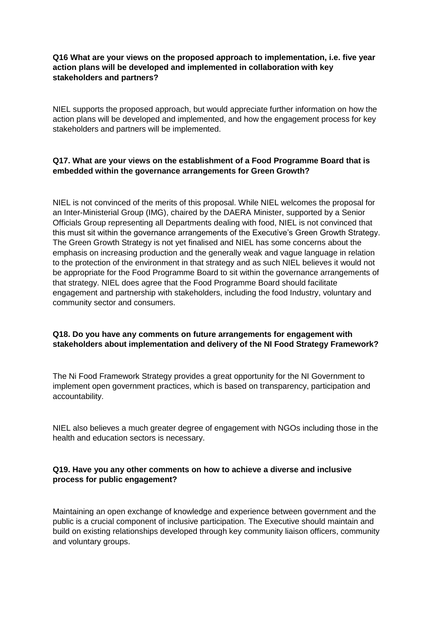# **Q16 What are your views on the proposed approach to implementation, i.e. five year action plans will be developed and implemented in collaboration with key stakeholders and partners?**

NIEL supports the proposed approach, but would appreciate further information on how the action plans will be developed and implemented, and how the engagement process for key stakeholders and partners will be implemented.

# **Q17. What are your views on the establishment of a Food Programme Board that is embedded within the governance arrangements for Green Growth?**

NIEL is not convinced of the merits of this proposal. While NIEL welcomes the proposal for an Inter-Ministerial Group (IMG), chaired by the DAERA Minister, supported by a Senior Officials Group representing all Departments dealing with food, NIEL is not convinced that this must sit within the governance arrangements of the Executive's Green Growth Strategy. The Green Growth Strategy is not yet finalised and NIEL has some concerns about the emphasis on increasing production and the generally weak and vague language in relation to the protection of the environment in that strategy and as such NIEL believes it would not be appropriate for the Food Programme Board to sit within the governance arrangements of that strategy. NIEL does agree that the Food Programme Board should facilitate engagement and partnership with stakeholders, including the food Industry, voluntary and community sector and consumers.

# **Q18. Do you have any comments on future arrangements for engagement with stakeholders about implementation and delivery of the NI Food Strategy Framework?**

The Ni Food Framework Strategy provides a great opportunity for the NI Government to implement open government practices, which is based on transparency, participation and accountability.

NIEL also believes a much greater degree of engagement with NGOs including those in the health and education sectors is necessary.

# **Q19. Have you any other comments on how to achieve a diverse and inclusive process for public engagement?**

Maintaining an open exchange of knowledge and experience between government and the public is a crucial component of inclusive participation. The Executive should maintain and build on existing relationships developed through key community liaison officers, community and voluntary groups.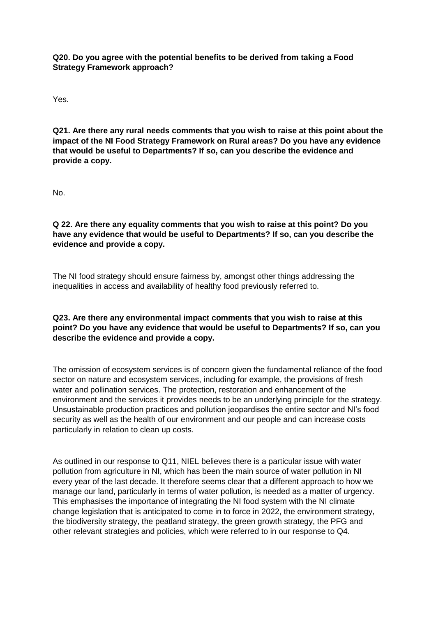**Q20. Do you agree with the potential benefits to be derived from taking a Food Strategy Framework approach?**

Yes.

**Q21. Are there any rural needs comments that you wish to raise at this point about the impact of the NI Food Strategy Framework on Rural areas? Do you have any evidence that would be useful to Departments? If so, can you describe the evidence and provide a copy.**

No.

**Q 22. Are there any equality comments that you wish to raise at this point? Do you have any evidence that would be useful to Departments? If so, can you describe the evidence and provide a copy.**

The NI food strategy should ensure fairness by, amongst other things addressing the inequalities in access and availability of healthy food previously referred to.

# **Q23. Are there any environmental impact comments that you wish to raise at this point? Do you have any evidence that would be useful to Departments? If so, can you describe the evidence and provide a copy.**

The omission of ecosystem services is of concern given the fundamental reliance of the food sector on nature and ecosystem services, including for example, the provisions of fresh water and pollination services. The protection, restoration and enhancement of the environment and the services it provides needs to be an underlying principle for the strategy. Unsustainable production practices and pollution jeopardises the entire sector and NI's food security as well as the health of our environment and our people and can increase costs particularly in relation to clean up costs.

As outlined in our response to Q11, NIEL believes there is a particular issue with water pollution from agriculture in NI, which has been the main source of water pollution in NI every year of the last decade. It therefore seems clear that a different approach to how we manage our land, particularly in terms of water pollution, is needed as a matter of urgency. This emphasises the importance of integrating the NI food system with the NI climate change legislation that is anticipated to come in to force in 2022, the environment strategy, the biodiversity strategy, the peatland strategy, the green growth strategy, the PFG and other relevant strategies and policies, which were referred to in our response to Q4.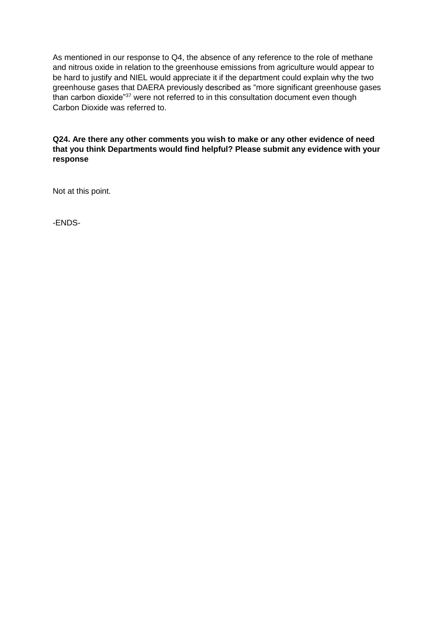As mentioned in our response to Q4, the absence of any reference to the role of methane and nitrous oxide in relation to the greenhouse emissions from agriculture would appear to be hard to justify and NIEL would appreciate it if the department could explain why the two greenhouse gases that DAERA previously described as "more significant greenhouse gases than carbon dioxide"<sup>37</sup> were not referred to in this consultation document even though Carbon Dioxide was referred to.

# **Q24. Are there any other comments you wish to make or any other evidence of need that you think Departments would find helpful? Please submit any evidence with your response**

Not at this point.

-ENDS-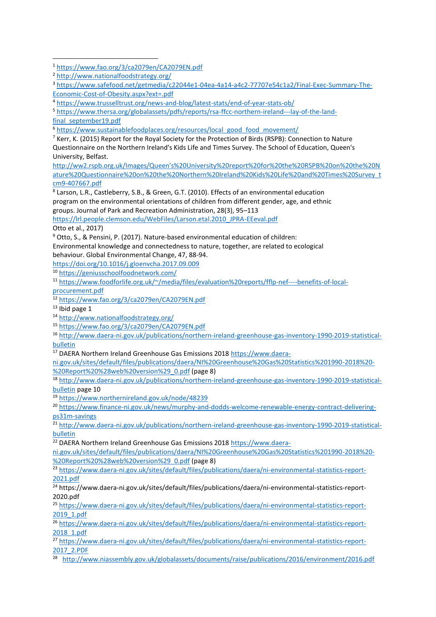1

<sup>4</sup> <https://www.trusselltrust.org/news-and-blog/latest-stats/end-of-year-stats-ob/>

<sup>5</sup> [https://www.thersa.org/globalassets/pdfs/reports/rsa-ffcc-northern-ireland---lay-of-the-land](https://www.thersa.org/globalassets/pdfs/reports/rsa-ffcc-northern-ireland---lay-of-the-land-final_september19.pdf)[final\\_september19.pdf](https://www.thersa.org/globalassets/pdfs/reports/rsa-ffcc-northern-ireland---lay-of-the-land-final_september19.pdf)

<sup>6</sup> [https://www.sustainablefoodplaces.org/resources/local\\_good\\_food\\_movement/](https://www.sustainablefoodplaces.org/resources/local_good_food_movement/)

<sup>7</sup> Kerr, K. (2015) Report for the Royal Society for the Protection of Birds (RSPB): Connection to Nature Questionnaire on the Northern Ireland's Kids Life and Times Survey. The School of Education, Queen's University, Belfast.

[http://ww2.rspb.org.uk/Images/Queen's%20University%20report%20for%20the%20RSPB%20on%20the%20N](http://ww2.rspb.org.uk/Images/Queen) [ature%20Questionnaire%20on%20the%20Northern%20Ireland%20Kids%20Life%20and%20Times%20Survey\\_t](http://ww2.rspb.org.uk/Images/Queen) [cm9-407667.pdf](http://ww2.rspb.org.uk/Images/Queen)

8 Larson, L.R., Castleberry, S.B., & Green, G.T. (2010). Effects of an environmental education program on the environmental orientations of children from different gender, age, and ethnic groups. Journal of Park and Recreation Administration, 28(3), 95–113

[https://lrl.people.clemson.edu/WebFiles/Larson.etal.2010\\_JPRA-EEeval.pdf](https://lrl.people.clemson.edu/WebFiles/Larson.etal.2010_JPRA-EEeval.pdf) Otto et al., 2017)

<sup>9</sup> Otto, S., & Pensini, P. (2017). Nature-based environmental education of children:

Environmental knowledge and connectedness to nature, together, are related to ecological

behaviour. Global Environmental Change, 47, 88-94.

<https://doi.org/10.1016/j.gloenvcha.2017.09.009>

<sup>10</sup> <https://geniusschoolfoodnetwork.com/>

<sup>11</sup> [https://www.foodforlife.org.uk/~/media/files/evaluation%20reports/fflp-nef----benefits-of-local-](https://www.foodforlife.org.uk/~/media/files/evaluation%20reports/fflp-nef----benefits-of-local-procurement.pdf)

[procurement.pdf](https://www.foodforlife.org.uk/~/media/files/evaluation%20reports/fflp-nef----benefits-of-local-procurement.pdf)

<sup>12</sup> <https://www.fao.org/3/ca2079en/CA2079EN.pdf>

 $13$  Ibid page 1

<sup>14</sup> <http://www.nationalfoodstrategy.org/>

<sup>15</sup> <https://www.fao.org/3/ca2079en/CA2079EN.pdf>

<sup>16</sup> [http://www.daera-ni.gov.uk/publications/northern-ireland-greenhouse-gas-inventory-1990-2019-statistical](http://www.daera-ni.gov.uk/publications/northern-ireland-greenhouse-gas-inventory-1990-2019-statistical-bulletin)[bulletin](http://www.daera-ni.gov.uk/publications/northern-ireland-greenhouse-gas-inventory-1990-2019-statistical-bulletin)

<sup>17</sup> DAERA Northern Ireland Greenhouse Gas Emissions 2018 [https://www.daera-](https://www.daera-ni.gov.uk/sites/default/files/publications/daera/NI%20Greenhouse%20Gas%20Statistics%201990-2018%20-%20Report%20%28web%20version%29_0.pdf)

[ni.gov.uk/sites/default/files/publications/daera/NI%20Greenhouse%20Gas%20Statistics%201990-2018%20-](https://www.daera-ni.gov.uk/sites/default/files/publications/daera/NI%20Greenhouse%20Gas%20Statistics%201990-2018%20-%20Report%20%28web%20version%29_0.pdf) [%20Report%20%28web%20version%29\\_0.pdf](https://www.daera-ni.gov.uk/sites/default/files/publications/daera/NI%20Greenhouse%20Gas%20Statistics%201990-2018%20-%20Report%20%28web%20version%29_0.pdf) (page 8)

<sup>18</sup> [http://www.daera-ni.gov.uk/publications/northern-ireland-greenhouse-gas-inventory-1990-2019-statistical](http://www.daera-ni.gov.uk/publications/northern-ireland-greenhouse-gas-inventory-1990-2019-statistical-bulletin)[bulletin](http://www.daera-ni.gov.uk/publications/northern-ireland-greenhouse-gas-inventory-1990-2019-statistical-bulletin) page 10

<sup>19</sup> <https://www.northernireland.gov.uk/node/48239>

<sup>20</sup> [https://www.finance-ni.gov.uk/news/murphy-and-dodds-welcome-renewable-energy-contract-delivering](https://www.finance-ni.gov.uk/news/murphy-and-dodds-welcome-renewable-energy-contract-delivering-ps31m-savings)[ps31m-savings](https://www.finance-ni.gov.uk/news/murphy-and-dodds-welcome-renewable-energy-contract-delivering-ps31m-savings)

<sup>21</sup> [http://www.daera-ni.gov.uk/publications/northern-ireland-greenhouse-gas-inventory-1990-2019-statistical](http://www.daera-ni.gov.uk/publications/northern-ireland-greenhouse-gas-inventory-1990-2019-statistical-bulletin)[bulletin](http://www.daera-ni.gov.uk/publications/northern-ireland-greenhouse-gas-inventory-1990-2019-statistical-bulletin)

<sup>22</sup> DAERA Northern Ireland Greenhouse Gas Emissions 2018 [https://www.daera-](https://www.daera-ni.gov.uk/sites/default/files/publications/daera/NI%20Greenhouse%20Gas%20Statistics%201990-2018%20-%20Report%20%28web%20version%29_0.pdf)

[ni.gov.uk/sites/default/files/publications/daera/NI%20Greenhouse%20Gas%20Statistics%201990-2018%20-](https://www.daera-ni.gov.uk/sites/default/files/publications/daera/NI%20Greenhouse%20Gas%20Statistics%201990-2018%20-%20Report%20%28web%20version%29_0.pdf) [%20Report%20%28web%20version%29\\_0.pdf](https://www.daera-ni.gov.uk/sites/default/files/publications/daera/NI%20Greenhouse%20Gas%20Statistics%201990-2018%20-%20Report%20%28web%20version%29_0.pdf) (page 8)

23 [https://www.daera-ni.gov.uk/sites/default/files/publications/daera/ni-environmental-statistics-report-](https://www.daera-ni.gov.uk/sites/default/files/publications/daera/ni-environmental-statistics-report-2021.pdf)[2021.pdf](https://www.daera-ni.gov.uk/sites/default/files/publications/daera/ni-environmental-statistics-report-2021.pdf)

<sup>24</sup> https://www.daera-ni.gov.uk/sites/default/files/publications/daera/ni-environmental-statistics-report-2020.pdf

<sup>25</sup> [https://www.daera-ni.gov.uk/sites/default/files/publications/daera/ni-environmental-statistics-report-](https://www.daera-ni.gov.uk/sites/default/files/publications/daera/ni-environmental-statistics-report-2019_1.pdf)[2019\\_1.pdf](https://www.daera-ni.gov.uk/sites/default/files/publications/daera/ni-environmental-statistics-report-2019_1.pdf)

<sup>26</sup> [https://www.daera-ni.gov.uk/sites/default/files/publications/daera/ni-environmental-statistics-report-](https://www.daera-ni.gov.uk/sites/default/files/publications/daera/ni-environmental-statistics-report-2018_1.pdf)[2018\\_1.pdf](https://www.daera-ni.gov.uk/sites/default/files/publications/daera/ni-environmental-statistics-report-2018_1.pdf)

<sup>27</sup> [https://www.daera-ni.gov.uk/sites/default/files/publications/daera/ni-environmental-statistics-report-](https://www.daera-ni.gov.uk/sites/default/files/publications/daera/ni-environmental-statistics-report-2017_2.PDF)[2017\\_2.PDF](https://www.daera-ni.gov.uk/sites/default/files/publications/daera/ni-environmental-statistics-report-2017_2.PDF)

<sup>28</sup><http://www.niassembly.gov.uk/globalassets/documents/raise/publications/2016/environment/2016.pdf>

<sup>1</sup> <https://www.fao.org/3/ca2079en/CA2079EN.pdf>

<sup>2</sup> <http://www.nationalfoodstrategy.org/>

<sup>3</sup> [https://www.safefood.net/getmedia/c22044e1-04ea-4a14-a4c2-77707e54c1a2/Final-Exec-Summary-The-](https://www.safefood.net/getmedia/c22044e1-04ea-4a14-a4c2-77707e54c1a2/Final-Exec-Summary-The-Economic-Cost-of-Obesity.aspx?ext=.pdf)[Economic-Cost-of-Obesity.aspx?ext=.pdf](https://www.safefood.net/getmedia/c22044e1-04ea-4a14-a4c2-77707e54c1a2/Final-Exec-Summary-The-Economic-Cost-of-Obesity.aspx?ext=.pdf)